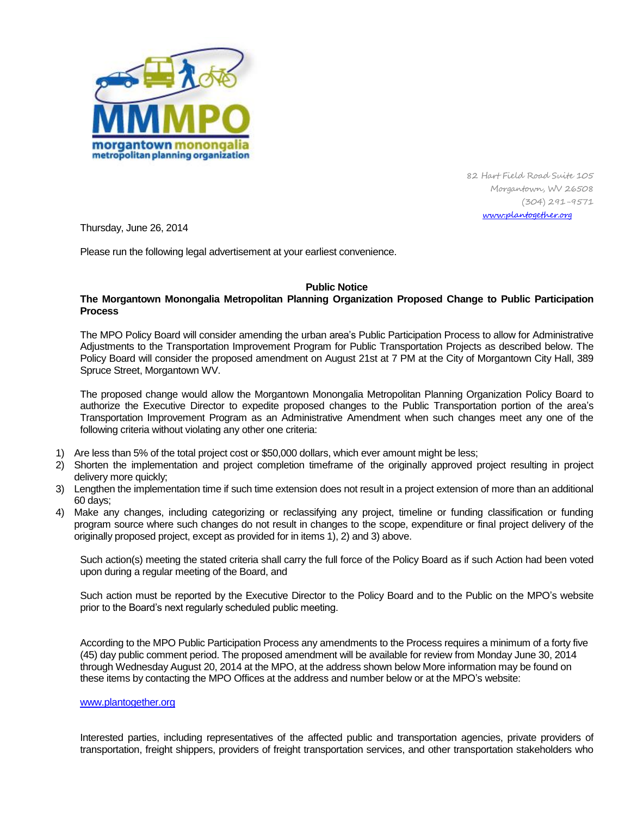

82 Hart Field Road Suite 105 Morgantown, WV 26508 (304) 291-9571 [www.plantogether.org](http://www.plantogether.org/)

Thursday, June 26, 2014

Please run the following legal advertisement at your earliest convenience.

## **Public Notice**

## **The Morgantown Monongalia Metropolitan Planning Organization Proposed Change to Public Participation Process**

The MPO Policy Board will consider amending the urban area's Public Participation Process to allow for Administrative Adjustments to the Transportation Improvement Program for Public Transportation Projects as described below. The Policy Board will consider the proposed amendment on August 21st at 7 PM at the City of Morgantown City Hall, 389 Spruce Street, Morgantown WV.

The proposed change would allow the Morgantown Monongalia Metropolitan Planning Organization Policy Board to authorize the Executive Director to expedite proposed changes to the Public Transportation portion of the area's Transportation Improvement Program as an Administrative Amendment when such changes meet any one of the following criteria without violating any other one criteria:

- 1) Are less than 5% of the total project cost or \$50,000 dollars, which ever amount might be less;
- 2) Shorten the implementation and project completion timeframe of the originally approved project resulting in project delivery more quickly;
- 3) Lengthen the implementation time if such time extension does not result in a project extension of more than an additional 60 days;
- 4) Make any changes, including categorizing or reclassifying any project, timeline or funding classification or funding program source where such changes do not result in changes to the scope, expenditure or final project delivery of the originally proposed project, except as provided for in items 1), 2) and 3) above.

Such action(s) meeting the stated criteria shall carry the full force of the Policy Board as if such Action had been voted upon during a regular meeting of the Board, and

Such action must be reported by the Executive Director to the Policy Board and to the Public on the MPO's website prior to the Board's next regularly scheduled public meeting.

According to the MPO Public Participation Process any amendments to the Process requires a minimum of a forty five (45) day public comment period. The proposed amendment will be available for review from Monday June 30, 2014 through Wednesday August 20, 2014 at the MPO, at the address shown below More information may be found on these items by contacting the MPO Offices at the address and number below or at the MPO's website:

## [www.plantogether.org](http://www.plantogether.org/)

Interested parties, including representatives of the affected public and transportation agencies, private providers of transportation, freight shippers, providers of freight transportation services, and other transportation stakeholders who